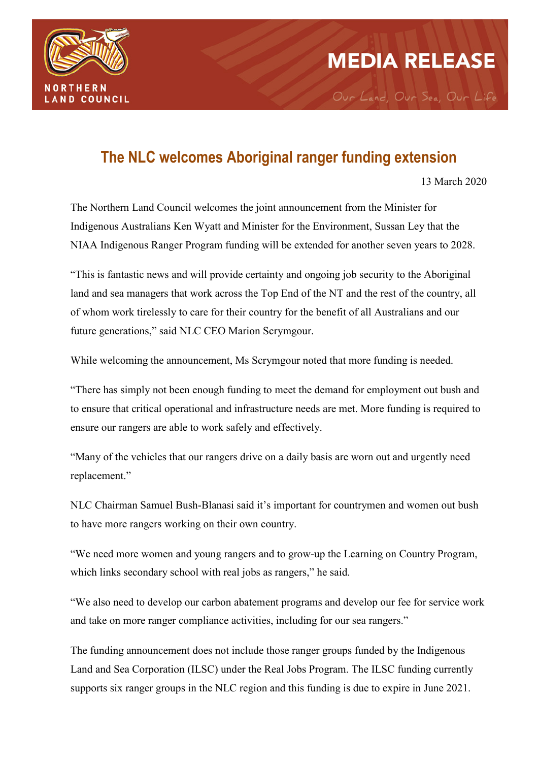

# **MEDIA RELEASE**

Our Land, Our Sea, Our Life

# **The NLC welcomes Aboriginal ranger funding extension**

13 March 2020

The Northern Land Council welcomes the joint announcement from the Minister for Indigenous Australians Ken Wyatt and Minister for the Environment, Sussan Ley that the NIAA Indigenous Ranger Program funding will be extended for another seven years to 2028.

"This is fantastic news and will provide certainty and ongoing job security to the Aboriginal land and sea managers that work across the Top End of the NT and the rest of the country, all of whom work tirelessly to care for their country for the benefit of all Australians and our future generations," said NLC CEO Marion Scrymgour.

While welcoming the announcement, Ms Scrymgour noted that more funding is needed.

"There has simply not been enough funding to meet the demand for employment out bush and to ensure that critical operational and infrastructure needs are met. More funding is required to ensure our rangers are able to work safely and effectively.

"Many of the vehicles that our rangers drive on a daily basis are worn out and urgently need replacement."

NLC Chairman Samuel Bush-Blanasi said it's important for countrymen and women out bush to have more rangers working on their own country.

"We need more women and young rangers and to grow-up the Learning on Country Program, which links secondary school with real jobs as rangers," he said.

"We also need to develop our carbon abatement programs and develop our fee for service work and take on more ranger compliance activities, including for our sea rangers."

The funding announcement does not include those ranger groups funded by the Indigenous Land and Sea Corporation (ILSC) under the Real Jobs Program. The ILSC funding currently supports six ranger groups in the NLC region and this funding is due to expire in June 2021.